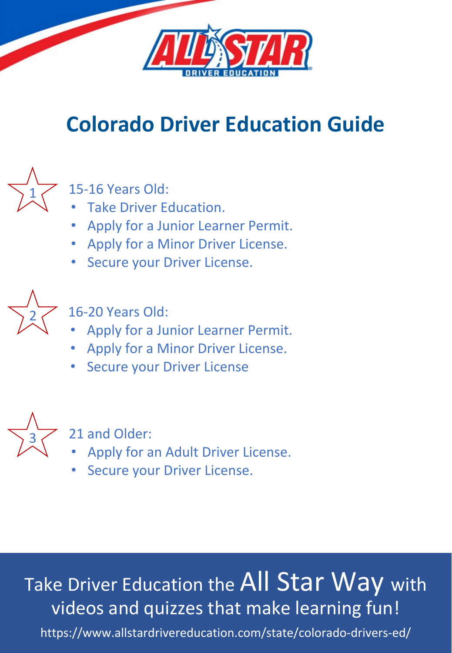

## **Colorado Driver Education Guide**



## 15-16 Years Old:

- Take Driver Education.
- Apply for a Junior Learner Permit.
- Apply for a Minor Driver License.
- Secure your Driver License.



16-20 Years Old:

- Apply for a Junior Learner Permit.
- Apply for a Minor Driver License.
- Secure your Driver License



21 and Older:

- Apply for an Adult Driver License.
- Secure your Driver License.

## Take Driver Education the All Star Way with videos and quizzes that make learning fun!

https://www.allstardrivereducation.com/state/colorado-drivers-ed/